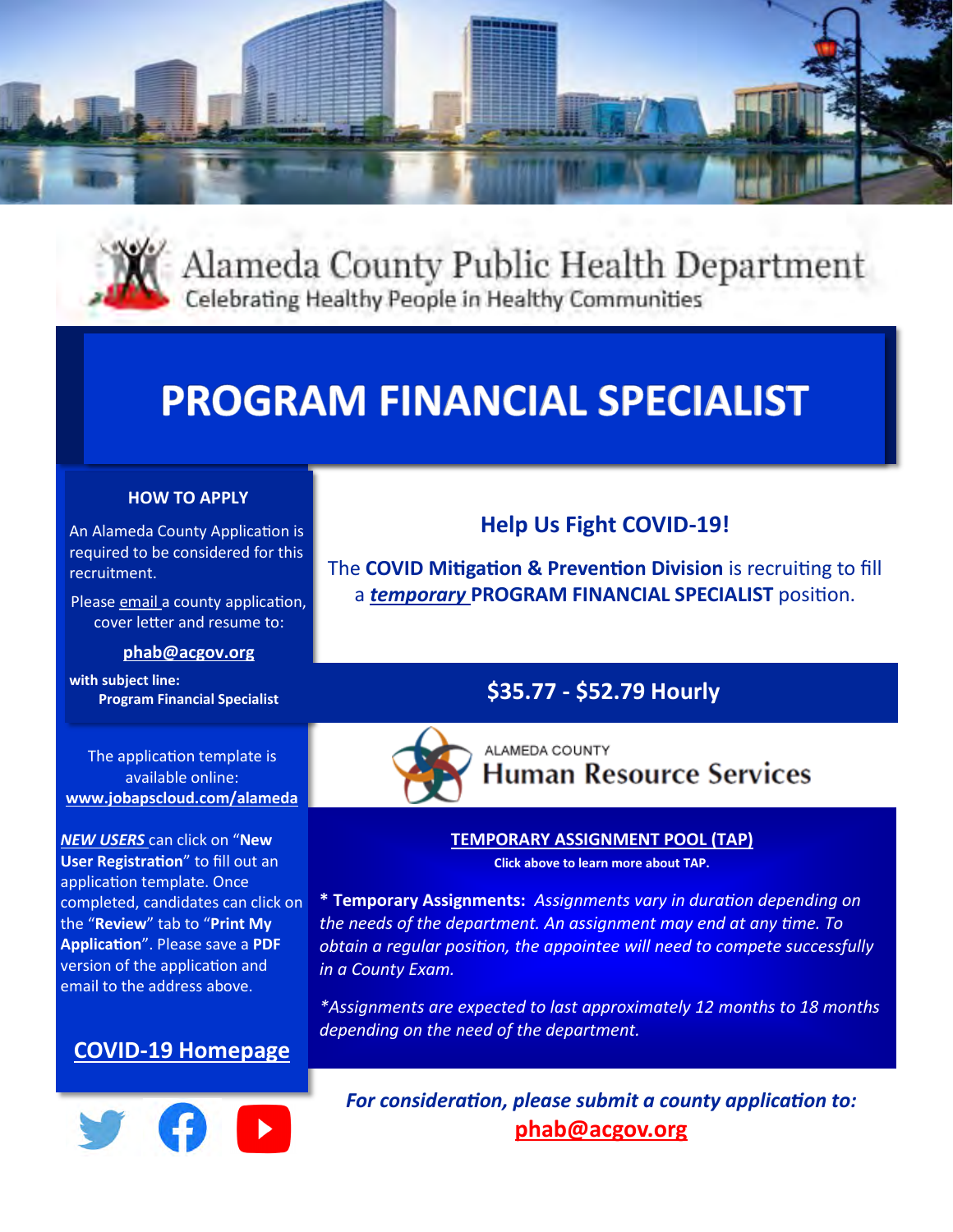



Alameda County Public Health Department Celebrating Healthy People in Healthy Communities

# **PROGRAM FINANCIAL SPECIALIST**

### **HOW TO APPLY**

An Alameda County Application is required to be considered for this recruitment.

Please email a county application, cover letter and resume to:

#### **[phab@acgov.org](mailto:phab@acgov.org)**

**with subject line:** 

The application template is available online: **[www.jobapscloud.com/alameda](https://jobapscloud.com/Alameda/sup/bulpreview.asp?R1=00&R2=AF000&R3=01)**

*NEW USERS* can click on "**New User Registration**" to fill out an application template. Once completed, candidates can click on the "**Review**" tab to "**Print My Application**". Please save a **PDF**  version of the application and email to the address above.





# **Help Us Fight COVID-19!**

The **COVID Mitigation & Prevention Division** is recruiting to fill a *temporary* **PROGRAM FINANCIAL SPECIALIST** position.

## **Program Financial Specialist \$35.77 - \$52.79 Hourly**



ALAMEDA COUNTY **Human Resource Services** 

### **[TEMPORARY ASSIGNMENT POOL \(TAP\)](https://www.acgov.org/hrs/divisions/tap/index.htm)**

**Click above to learn more about TAP.**

**\* Temporary Assignments:** *Assignments vary in duration depending on the needs of the department. An assignment may end at any time. To obtain a regular position, the appointee will need to compete successfully in a County Exam.*

*\*Assignments are expected to last approximately 12 months to 18 months depending on the need of the department.*

*For consideration, please submit a county application to:* **[phab@acgov.org](mailto:phab@acgov.org)**